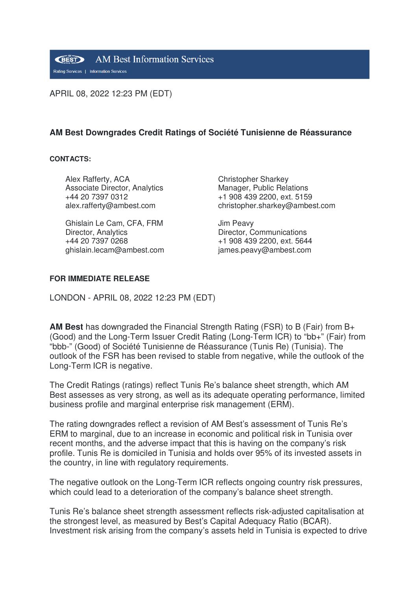**AM Best Information Services BEST** Rating Services | Information Services

APRIL 08, 2022 12:23 PM (EDT)

## **AM Best Downgrades Credit Ratings of Société Tunisienne de Réassurance**

## **CONTACTS:**

 Alex Rafferty, ACA Associate Director, Analytics +44 20 7397 0312 alex.rafferty@ambest.com

Ghislain Le Cam, CFA, FRM Director, Analytics +44 20 7397 0268 ghislain.lecam@ambest.com

Christopher Sharkey Manager, Public Relations +1 908 439 2200, ext. 5159 christopher.sharkey@ambest.com

Jim Peavy Director, Communications +1 908 439 2200, ext. 5644 james.peavy@ambest.com

## **FOR IMMEDIATE RELEASE**

LONDON - APRIL 08, 2022 12:23 PM (EDT)

**AM Best** has downgraded the Financial Strength Rating (FSR) to B (Fair) from B+ (Good) and the Long-Term Issuer Credit Rating (Long-Term ICR) to "bb+" (Fair) from "bbb-" (Good) of Société Tunisienne de Réassurance (Tunis Re) (Tunisia). The outlook of the FSR has been revised to stable from negative, while the outlook of the Long-Term ICR is negative.

The Credit Ratings (ratings) reflect Tunis Re's balance sheet strength, which AM Best assesses as very strong, as well as its adequate operating performance, limited business profile and marginal enterprise risk management (ERM).

The rating downgrades reflect a revision of AM Best's assessment of Tunis Re's ERM to marginal, due to an increase in economic and political risk in Tunisia over recent months, and the adverse impact that this is having on the company's risk profile. Tunis Re is domiciled in Tunisia and holds over 95% of its invested assets in the country, in line with regulatory requirements.

The negative outlook on the Long-Term ICR reflects ongoing country risk pressures, which could lead to a deterioration of the company's balance sheet strength.

Tunis Re's balance sheet strength assessment reflects risk-adjusted capitalisation at the strongest level, as measured by Best's Capital Adequacy Ratio (BCAR). Investment risk arising from the company's assets held in Tunisia is expected to drive